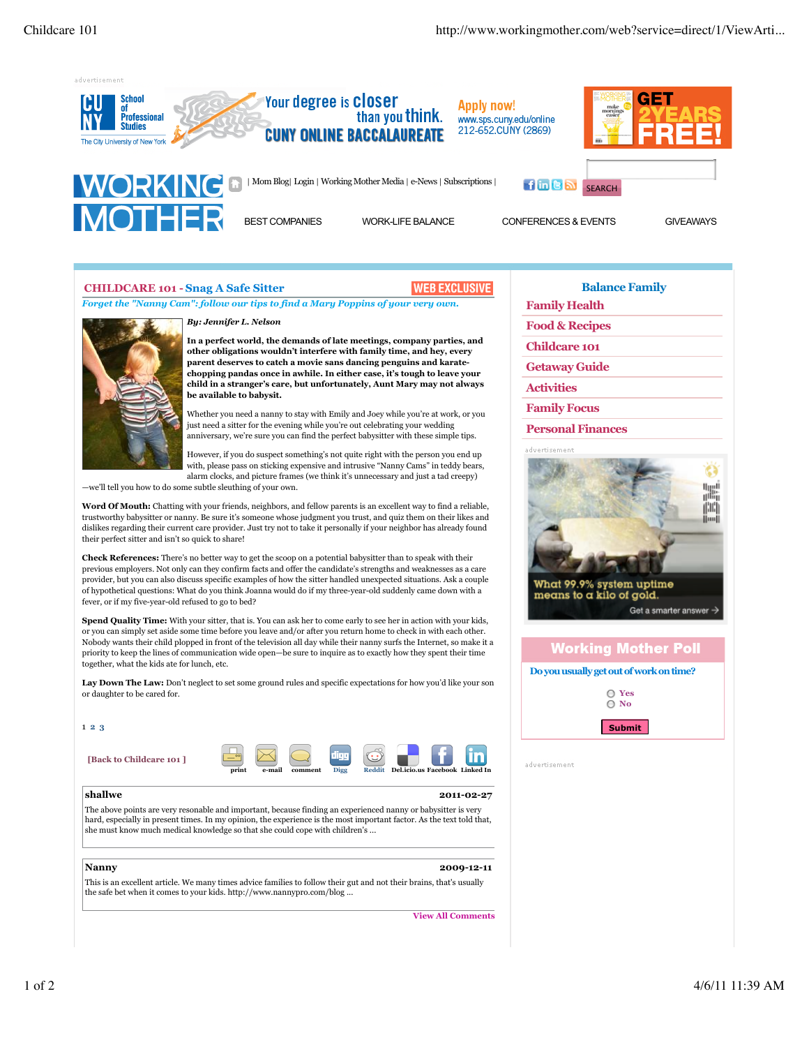

BEST COMPANIES WORK-LIFE BALANCE CONFERENCES & EVENTS GIVEAWAYS

## **CHILDCARE 101 - Snag A Safe Sitter**



*Forget the "Nanny Cam": follow our tips to find a Mary Poppins of your very own.*



*By: Jennifer L. Nelson* 

**In a perfect world, the demands of late meetings, company parties, and other obligations wouldn't interfere with family time, and hey, every parent deserves to catch a movie sans dancing penguins and karatechopping pandas once in awhile. In either case, it's tough to leave your child in a stranger's care, but unfortunately, Aunt Mary may not always be available to babysit.** 

Whether you need a nanny to stay with Emily and Joey while you're at work, or you just need a sitter for the evening while you're out celebrating your wedding anniversary, we're sure you can find the perfect babysitter with these simple tips.

However, if you do suspect something's not quite right with the person you end up with, please pass on sticking expensive and intrusive "Nanny Cams" in teddy bears, alarm clocks, and picture frames (we think it's unnecessary and just a tad creepy)

—we'll tell you how to do some subtle sleuthing of your own.

**Word Of Mouth:** Chatting with your friends, neighbors, and fellow parents is an excellent way to find a reliable, trustworthy babysitter or nanny. Be sure it's someone whose judgment you trust, and quiz them on their likes and dislikes regarding their current care provider. Just try not to take it personally if your neighbor has already found their perfect sitter and isn't so quick to share!

**Check References:** There's no better way to get the scoop on a potential babysitter than to speak with their previous employers. Not only can they confirm facts and offer the candidate's strengths and weaknesses as a care provider, but you can also discuss specific examples of how the sitter handled unexpected situations. Ask a couple of hypothetical questions: What do you think Joanna would do if my three-year-old suddenly came down with a fever, or if my five-year-old refused to go to bed?

**Spend Quality Time:** With your sitter, that is. You can ask her to come early to see her in action with your kids, or you can simply set aside some time before you leave and/or after you return home to check in with each other. Nobody wants their child plopped in front of the television all day while their nanny surfs the Internet, so make it a priority to keep the lines of communication wide open—be sure to inquire as to exactly how they spent their time together, what the kids ate for lunch, etc.

Lay Down The Law: Don't neglect to set some ground rules and specific expectations for how you'd like your son or daughter to be cared for.

| 123                                                                                                                                                                                                                                                                                                                   |       |        |         |                     |               |                                |            |
|-----------------------------------------------------------------------------------------------------------------------------------------------------------------------------------------------------------------------------------------------------------------------------------------------------------------------|-------|--------|---------|---------------------|---------------|--------------------------------|------------|
| [Back to Childcare 101]                                                                                                                                                                                                                                                                                               | print | e-mail | comment | 1111<br><b>Digg</b> | <b>Reddit</b> | Del.icio.us Facebook Linked In |            |
| shallwe                                                                                                                                                                                                                                                                                                               |       |        |         |                     |               |                                | 2011-02-27 |
| The above points are very resonable and important, because finding an experienced nanny or babysitter is very<br>hard, especially in present times. In my opinion, the experience is the most important factor. As the text told that,<br>she must know much medical knowledge so that she could cope with children's |       |        |         |                     |               |                                |            |
|                                                                                                                                                                                                                                                                                                                       |       |        |         |                     |               |                                |            |
| Nanny                                                                                                                                                                                                                                                                                                                 |       |        |         |                     |               |                                | 2009-12-11 |
| This is an excellent article. We many times advice families to follow their gut and not their brains, that's usually<br>the safe bet when it comes to your kids. http://www.nannypro.com/blog                                                                                                                         |       |        |         |                     |               |                                |            |

**View All Comments**

**Balance Family Family Health**

**Food & Recipes**

**Childcare 101**

**Getaway Guide**

**Activities**

**Family Focus**

**Personal Finances**



## **Working Mother Poll**

## **Do you usually get out of work on time?**



advertisement